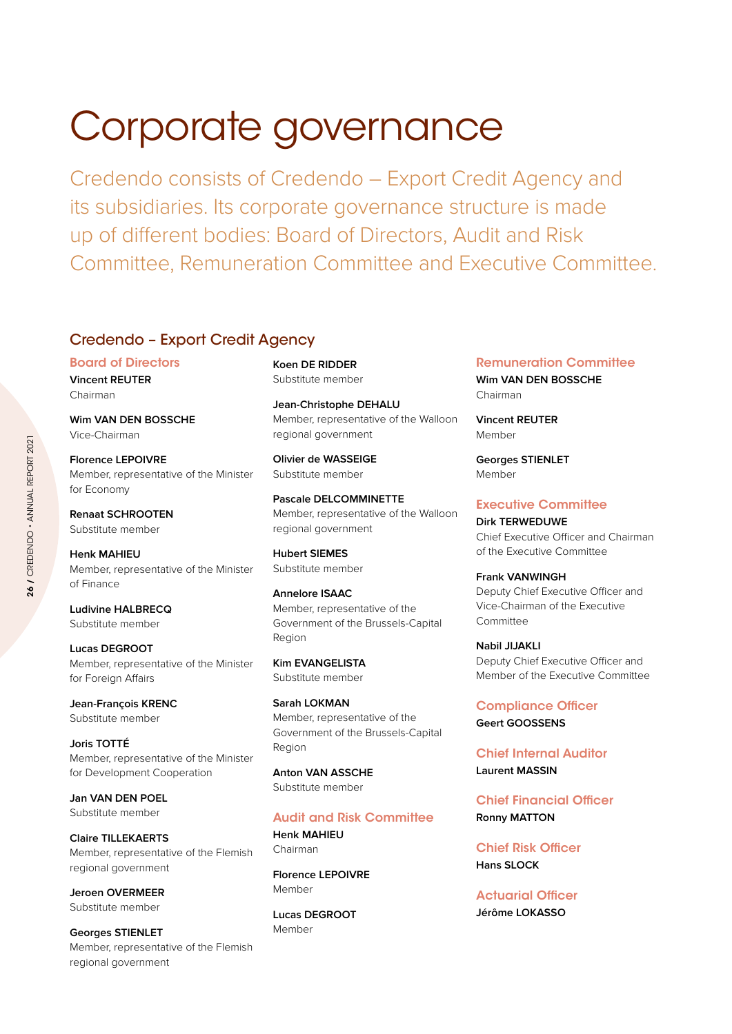# Corporate governance

Credendo consists of Credendo – Export Credit Agency and its subsidiaries. Its corporate governance structure is made up of different bodies: Board of Directors, Audit and Risk Committee, Remuneration Committee and Executive Committee.

# Credendo – Export Credit Agency

Board of Directors **Vincent REUTER** Chairman

**Wim VAN DEN BOSSCHE** Vice-Chairman

**Florence LEPOIVRE** Member, representative of the Minister for Economy

**Renaat SCHROOTEN** Substitute member

**Henk MAHIEU** Member, representative of the Minister of Finance

**Ludivine HALBRECQ** Substitute member

**Lucas DEGROOT** Member, representative of the Minister for Foreign Affairs

**Jean-François KRENC** Substitute member

**Joris TOTTÉ** Member, representative of the Minister for Development Cooperation

**Jan VAN DEN POEL** Substitute member

**Claire TILLEKAERTS** Member, representative of the Flemish regional government

**Jeroen OVERMEER** Substitute member

**Georges STIENLET** Member, representative of the Flemish regional government

**Koen DE RIDDER** Substitute member

**Jean-Christophe DEHALU** Member, representative of the Walloon regional government

**Olivier de WASSEIGE** Substitute member

**Pascale DELCOMMINETTE** Member, representative of the Walloon regional government

**Hubert SIEMES** Substitute member

**Annelore ISAAC** Member, representative of the Government of the Brussels-Capital Region

**Kim EVANGELISTA** Substitute member

**Sarah LOKMAN** Member, representative of the Government of the Brussels-Capital Region

**Anton VAN ASSCHE** Substitute member

## Audit and Risk Committee

**Henk MAHIEU** Chairman

**Florence LEPOIVRE** Member

**Lucas DEGROOT** Member

# Remuneration Committee

**Wim VAN DEN BOSSCHE** Chairman

**Vincent REUTER** Member

**Georges STIENLET** Member

## Executive Committee

**Dirk TERWEDUWE** Chief Executive Officer and Chairman of the Executive Committee

**Frank VANWINGH** Deputy Chief Executive Officer and Vice-Chairman of the Executive Committee

**Nabil JIJAKLI** Deputy Chief Executive Officer and Member of the Executive Committee

Compliance Officer **Geert GOOSSENS**

Chief Internal Auditor **Laurent MASSIN**

Chief Financial Officer **Ronny MATTON**

Chief Risk Officer **Hans SLOCK**

Actuarial Officer **Jérôme LOKASSO**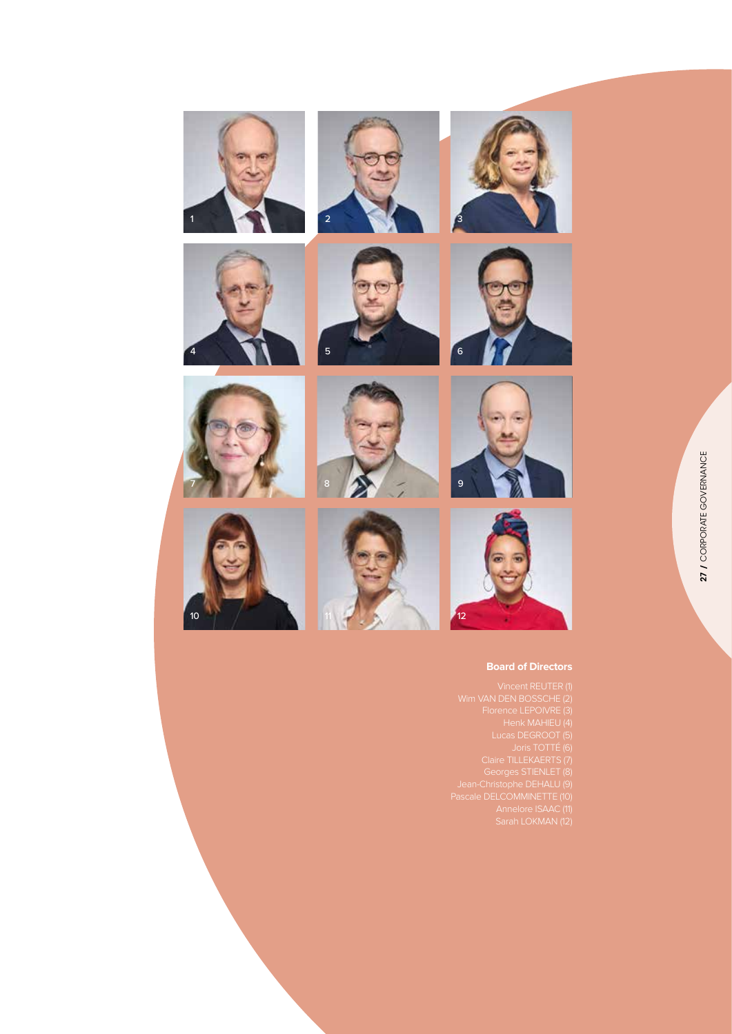







## **Board of Directors**

Florence LEPOIVRE (3) Pascale DELCOMMINETTE (10)